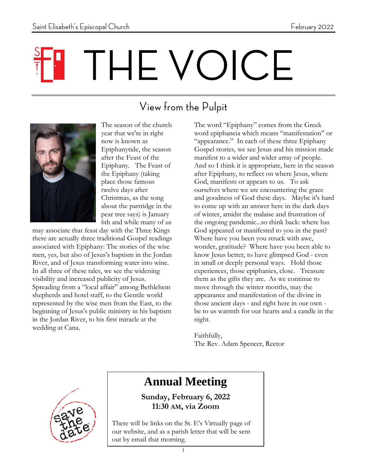# THE VOICE

# View from the Pulpit



The season of the church year that we're in right now is known as Epiphanytide, the season after the Feast of the Epiphany. The Feast of the Epiphany (taking place those famous twelve days after Christmas, as the song about the partridge in the pear tree says) is January 6th and while many of us

may associate that feast day with the Three Kings there are actually three traditional Gospel readings associated with Epiphany: The stories of the wise men, yes, but also of Jesus's baptism in the Jordan River, and of Jesus transforming water into wine. In all three of these tales, we see the widening visibility and increased publicity of Jesus. Spreading from a "local affair" among Bethlehem shepherds and hotel staff, to the Gentile world represented by the wise men from the East, to the beginning of Jesus's public ministry in his baptism in the Jordan River, to his first miracle at the wedding at Cana.

The word "Epiphany" comes from the Greek word epiphaneia which means "manifestation" or "appearance." In each of these three Epiphany Gospel stories, we see Jesus and his mission made manifest to a wider and wider array of people. And so I think it is appropriate, here in the season after Epiphany, to reflect on where Jesus, where God, manifests or appears to us. To ask ourselves where we are encountering the grace and goodness of God these days. Maybe it's hard to come up with an answer here in the dark days of winter, amidst the malaise and frustration of the ongoing pandemic...so think back: where has God appeared or manifested to you in the past? Where have you been you struck with awe, wonder, gratitude? Where have you been able to know Jesus better, to have glimpsed God - even in small or deeply personal ways. Hold those experiences, those epiphanies, close. Treasure them as the gifts they are. As we continue to move through the winter months, may the appearance and manifestation of the divine in those ancient days - and right here in our own be to us warmth for our hearts and a candle in the night.

Faithfully, The Rev. Adam Spencer, Rector



## **Annual Meeting**

**Sunday, February 6, 2022 11:30 AM, via Zoom**

There will be links on the St. E's Virtually page of our website, and as a parish letter that will be sent out by email that morning.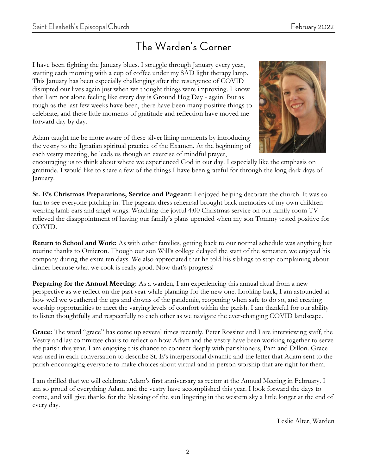## The Warden's Corner

I have been fighting the January blues. I struggle through January every year, starting each morning with a cup of coffee under my SAD light therapy lamp. This January has been especially challenging after the resurgence of COVID disrupted our lives again just when we thought things were improving. I know that I am not alone feeling like every day is Ground Hog Day - again. But as tough as the last few weeks have been, there have been many positive things to celebrate, and these little moments of gratitude and reflection have moved me forward day by day.

Adam taught me be more aware of these silver lining moments by introducing the vestry to the Ignatian spiritual practice of the Examen. At the beginning of each vestry meeting, he leads us though an exercise of mindful prayer,



encouraging us to think about where we experienced God in our day. I especially like the emphasis on gratitude. I would like to share a few of the things I have been grateful for through the long dark days of January.

**St. E's Christmas Preparations, Service and Pageant:** I enjoyed helping decorate the church. It was so fun to see everyone pitching in. The pageant dress rehearsal brought back memories of my own children wearing lamb ears and angel wings. Watching the joyful 4:00 Christmas service on our family room TV relieved the disappointment of having our family's plans upended when my son Tommy tested positive for COVID.

**Return to School and Work:** As with other families, getting back to our normal schedule was anything but routine thanks to Omicron. Though our son Will's college delayed the start of the semester, we enjoyed his company during the extra ten days. We also appreciated that he told his siblings to stop complaining about dinner because what we cook is really good. Now that's progress!

**Preparing for the Annual Meeting:** As a warden, I am experiencing this annual ritual from a new perspective as we reflect on the past year while planning for the new one. Looking back, I am astounded at how well we weathered the ups and downs of the pandemic, reopening when safe to do so, and creating worship opportunities to meet the varying levels of comfort within the parish. I am thankful for our ability to listen thoughtfully and respectfully to each other as we navigate the ever-changing COVID landscape.

**Grace:** The word "grace" has come up several times recently. Peter Rossiter and I are interviewing staff, the Vestry and lay committee chairs to reflect on how Adam and the vestry have been working together to serve the parish this year. I am enjoying this chance to connect deeply with parishioners, Pam and Dillon. Grace was used in each conversation to describe St. E's interpersonal dynamic and the letter that Adam sent to the parish encouraging everyone to make choices about virtual and in-person worship that are right for them.

I am thrilled that we will celebrate Adam's first anniversary as rector at the Annual Meeting in February. I am so proud of everything Adam and the vestry have accomplished this year. I look forward the days to come, and will give thanks for the blessing of the sun lingering in the western sky a little longer at the end of every day.

Leslie Alter, Warden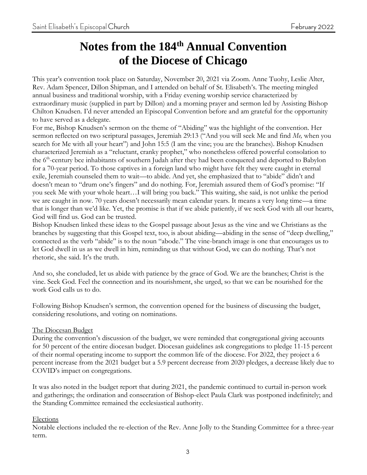## **Notes from the 184th Annual Convention of the Diocese of Chicago**

This year's convention took place on Saturday, November 20, 2021 via Zoom. Anne Tuohy, Leslie Alter, Rev. Adam Spencer, Dillon Shipman, and I attended on behalf of St. Elisabeth's. The meeting mingled annual business and traditional worship, with a Friday evening worship service characterized by extraordinary music (supplied in part by Dillon) and a morning prayer and sermon led by Assisting Bishop Chilton Knudsen. I'd never attended an Episcopal Convention before and am grateful for the opportunity to have served as a delegate.

For me, Bishop Knudsen's sermon on the theme of "Abiding" was the highlight of the convention. Her sermon reflected on two scriptural passages, Jeremiah 29:13 ("And you will seek Me and find *Me,* when you search for Me with all your heart") and John 15:5 (I am the vine; you are the branches). Bishop Knudsen characterized Jeremiah as a "reluctant, cranky prophet," who nonetheless offered powerful consolation to the 6<sup>th</sup>-century bce inhabitants of southern Judah after they had been conquered and deported to Babylon for a 70-year period. To those captives in a foreign land who might have felt they were caught in eternal exile, Jeremiah counseled them to wait—to abide. And yet, she emphasized that to "abide" didn't and doesn't mean to "drum one's fingers" and do nothing. For, Jeremiah assured them of God's promise: "If you seek Me with your whole heart…I will bring you back." This waiting, she said, is not unlike the period we are caught in now. 70 years doesn't necessarily mean calendar years. It means a very long time—a time that is longer than we'd like. Yet, the promise is that if we abide patiently, if we seek God with all our hearts, God will find us. God can be trusted.

Bishop Knudsen linked these ideas to the Gospel passage about Jesus as the vine and we Christians as the branches by suggesting that this Gospel text, too, is about abiding—abiding in the sense of "deep dwelling," connected as the verb "abide" is to the noun "abode." The vine-branch image is one that encourages us to let God dwell in us as we dwell in him, reminding us that without God, we can do nothing. That's not rhetoric, she said. It's the truth.

And so, she concluded, let us abide with patience by the grace of God. We are the branches; Christ is the vine. Seek God. Feel the connection and its nourishment, she urged, so that we can be nourished for the work God calls us to do.

Following Bishop Knudsen's sermon, the convention opened for the business of discussing the budget, considering resolutions, and voting on nominations.

#### The Diocesan Budget

During the convention's discussion of the budget, we were reminded that congregational giving accounts for 50 percent of the entire diocesan budget. Diocesan guidelines ask congregations to pledge 11-15 percent of their normal operating income to support the common life of the diocese. For 2022, they project a 6 percent increase from the 2021 budget but a 5.9 percent decrease from 2020 pledges, a decrease likely due to COVID's impact on congregations.

It was also noted in the budget report that during 2021, the pandemic continued to curtail in-person work and gatherings; the ordination and consecration of Bishop-elect Paula Clark was postponed indefinitely; and the Standing Committee remained the ecclesiastical authority.

#### Elections

Notable elections included the re-election of the Rev. Anne Jolly to the Standing Committee for a three-year term.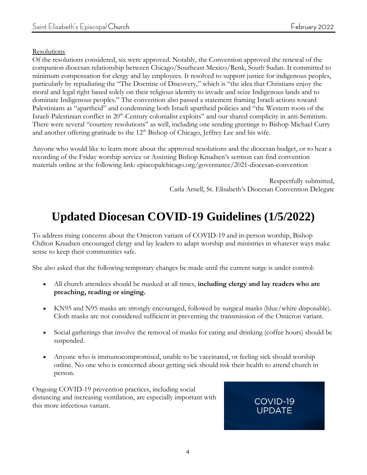#### **Resolutions**

Of the resolutions considered, six were approved. Notably, the Convention approved the renewal of the companion diocesan relationship between Chicago/Southeast Mexico/Renk, South Sudan. It committed to minimum compensation for clergy and lay employees. It resolved to support justice for indigenous peoples, particularly by repudiating the "The Doctrine of Discovery," which is "the idea that Christians enjoy the moral and legal right based solely on their religious identity to invade and seize Indigenous lands and to dominate Indigenous peoples." The convention also passed a statement framing Israeli actions toward Palestinians as "apartheid" and condemning both Israeli apartheid policies and "the Western roots of the Israeli-Palestinian conflict in 20<sup>th</sup>-Century colonialist exploits" and our shared complicity in anti-Semitism. There were several "courtesy resolutions" as well, including one sending greetings to Bishop Michael Curry and another offering gratitude to the  $12<sup>th</sup>$  Bishop of Chicago, Jeffrey Lee and his wife.

Anyone who would like to learn more about the approved resolutions and the diocesan budget, or to hear a recording of the Friday worship service or Assisting Bishop Knudsen's sermon can find convention materials online at the following link: episcopalchicago.org/governance/2021-diocesan-convention

> Respectfully submitted, Carla Arnell, St. Elisabeth's Diocesan Convention Delegate

# **Updated Diocesan COVID-19 Guidelines (1/5/2022)**

To address rising concerns about the Omicron variant of COVID-19 and in-person worship, Bishop Chilton Knudsen encouraged clergy and lay leaders to adapt worship and ministries in whatever ways make sense to keep their communities safe.

She also asked that the following temporary changes be made until the current surge is under control:

- All church attendees should be masked at all times, **including clergy and lay readers who are preaching, reading or singing.**
- KN95 and N95 masks are strongly encouraged, followed by surgical masks (blue/white disposable). Cloth masks are not considered sufficient in preventing the transmission of the Omicron variant.
- Social gatherings that involve the removal of masks for eating and drinking (coffee hours) should be suspended.
- Anyone who is immunocompromised, unable to be vaccinated, or feeling sick should worship online. No one who is concerned about getting sick should risk their health to attend church in person.

Ongoing COVID-19 prevention practices, including social distancing and increasing ventilation, are especially important with this more infectious variant.

#### COVID-19 **UPDATE**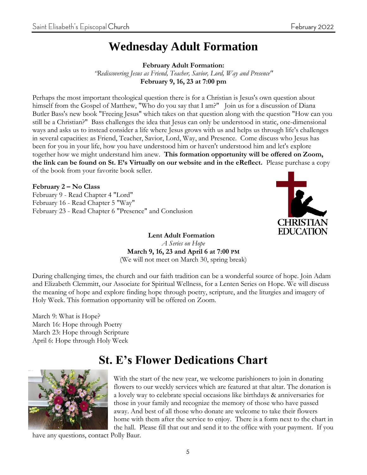## **Wednesday Adult Formation**

**February Adult Formation:**

*"Rediscovering Jesus as Friend, Teacher, Savior, Lord, Way and Presence"* **February 9, 16, 23 at 7:00 pm**

Perhaps the most important theological question there is for a Christian is Jesus's own question about himself from the Gospel of Matthew, "Who do you say that I am?" Join us for a discussion of Diana Butler Bass's new book "Freeing Jesus" which takes on that question along with the question "How can you still be a Christian?" Bass challenges the idea that Jesus can only be understood in static, one-dimensional ways and asks us to instead consider a life where Jesus grows with us and helps us through life's challenges in several capacities: as Friend, Teacher, Savior, Lord, Way, and Presence. Come discuss who Jesus has been for you in your life, how you have understood him or haven't understood him and let's explore together how we might understand him anew. **This formation opportunity will be offered on Zoom, the link can be found on St. E's Virtually on our website and in the eReflect.** Please purchase a copy of the book from your favorite book seller.

**February 2 – No Class**  February 9 - Read Chapter 4 "Lord" February 16 - Read Chapter 5 "Way" February 23 - Read Chapter 6 "Presence" and Conclusion



**Lent Adult Formation** *A Series on Hope* **March 9, 16, 23 and April 6 at 7:00 PM** (We will not meet on March 30, spring break)

During challenging times, the church and our faith tradition can be a wonderful source of hope. Join Adam and Elizabeth Clemmitt, our Associate for Spiritual Wellness, for a Lenten Series on Hope. We will discuss the meaning of hope and explore finding hope through poetry, scripture, and the liturgies and imagery of Holy Week. This formation opportunity will be offered on Zoom.

March 9: What is Hope? March 16: Hope through Poetry March 23: Hope through Scripture April 6: Hope through Holy Week

## **St. E's Flower Dedications Chart**



With the start of the new year, we welcome parishioners to join in donating flowers to our weekly services which are featured at that altar. The donation is a lovely way to celebrate special occasions like birthdays & anniversaries for those in your family and recognize the memory of those who have passed away. And best of all those who donate are welcome to take their flowers home with them after the service to enjoy. There is a form next to the chart in the hall. Please fill that out and send it to the office with your payment. If you

have any questions, contact Polly Baur.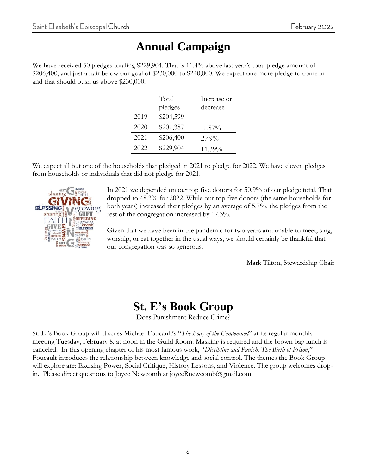## **Annual Campaign**

We have received 50 pledges totaling \$229,904. That is 11.4% above last year's total pledge amount of \$206,400, and just a hair below our goal of \$230,000 to \$240,000. We expect one more pledge to come in and that should push us above \$230,000.

|      | Total<br>pledges | Increase or<br>decrease |
|------|------------------|-------------------------|
| 2019 | \$204,599        |                         |
| 2020 | \$201,387        | $-1.57\%$               |
| 2021 | \$206,400        | 2.49%                   |
| 2022 | \$229,904        | 11.39%                  |

We expect all but one of the households that pledged in 2021 to pledge for 2022. We have eleven pledges from households or individuals that did not pledge for 2021.



In 2021 we depended on our top five donors for 50.9% of our pledge total. That dropped to 48.3% for 2022. While our top five donors (the same households for both years) increased their pledges by an average of 5.7%, the pledges from the rest of the congregation increased by 17.3%.

Given that we have been in the pandemic for two years and unable to meet, sing, worship, or eat together in the usual ways, we should certainly be thankful that our congregation was so generous.

Mark Tilton, Stewardship Chair

## **St. E's Book Group**

Does Punishment Reduce Crime?

St. E.'s Book Group will discuss Michael Foucault's "*The Body of the Condemned*" at its regular monthly meeting Tuesday, February 8, at noon in the Guild Room. Masking is required and the brown bag lunch is canceled. In this opening chapter of his most famous work, "*Discipline and Punish: The Birth of Prison*," Foucault introduces the relationship between knowledge and social control. The themes the Book Group will explore are: Excising Power, Social Critique, History Lessons, and Violence. The group welcomes dropin. Please direct questions to Joyce Newcomb at joyceRnewcomb@gmail.com.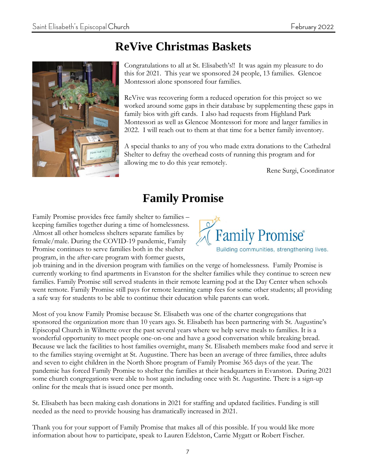## **ReVive Christmas Baskets**



Congratulations to all at St. Elisabeth's!! It was again my pleasure to do this for 2021. This year we sponsored 24 people, 13 families. Glencoe Montessori alone sponsored four families.

ReVive was recovering form a reduced operation for this project so we worked around some gaps in their database by supplementing these gaps in family bios with gift cards. I also had requests from Highland Park Montessori as well as Glencoe Montessori for more and larger families in 2022. I will reach out to them at that time for a better family inventory.

A special thanks to any of you who made extra donations to the Cathedral Shelter to defray the overhead costs of running this program and for allowing me to do this year remotely.

Rene Surgi, Coordinator

## **Family Promise**

Family Promise provides free family shelter to families – keeping families together during a time of homelessness. Almost all other homeless shelters separate families by female/male. During the COVID-19 pandemic, Family Promise continues to serve families both in the shelter program, in the after-care program with former guests,

**Family Promise®** Building communities, strengthening lives.

job training and in the diversion program with families on the verge of homelessness. Family Promise is currently working to find apartments in Evanston for the shelter families while they continue to screen new families. Family Promise still served students in their remote learning pod at the Day Center when schools went remote. Family Promise still pays for remote learning camp fees for some other students; all providing a safe way for students to be able to continue their education while parents can work.

Most of you know Family Promise because St. Elisabeth was one of the charter congregations that sponsored the organization more than 10 years ago. St. Elisabeth has been partnering with St. Augustine's Episcopal Church in Wilmette over the past several years where we help serve meals to families. It is a wonderful opportunity to meet people one-on-one and have a good conversation while breaking bread. Because we lack the facilities to host families overnight, many St. Elisabeth members make food and serve it to the families staying overnight at St. Augustine. There has been an average of three families, three adults and seven to eight children in the North Shore program of Family Promise 365 days of the year. The pandemic has forced Family Promise to shelter the families at their headquarters in Evanston. During 2021 some church congregations were able to host again including once with St. Augustine. There is a sign-up online for the meals that is issued once per month.

St. Elisabeth has been making cash donations in 2021 for staffing and updated facilities. Funding is still needed as the need to provide housing has dramatically increased in 2021.

Thank you for your support of Family Promise that makes all of this possible. If you would like more information about how to participate, speak to Lauren Edelston, Carrie Mygatt or Robert Fischer.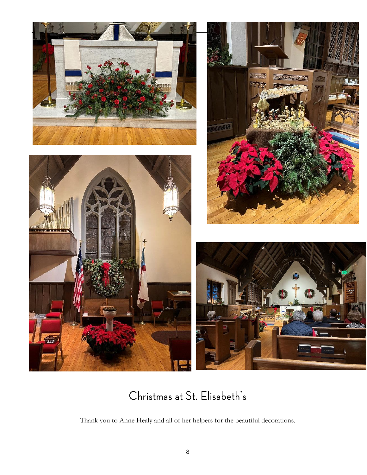

## Christmas at St. Elisabeth's

Thank you to Anne Healy and all of her helpers for the beautiful decorations.